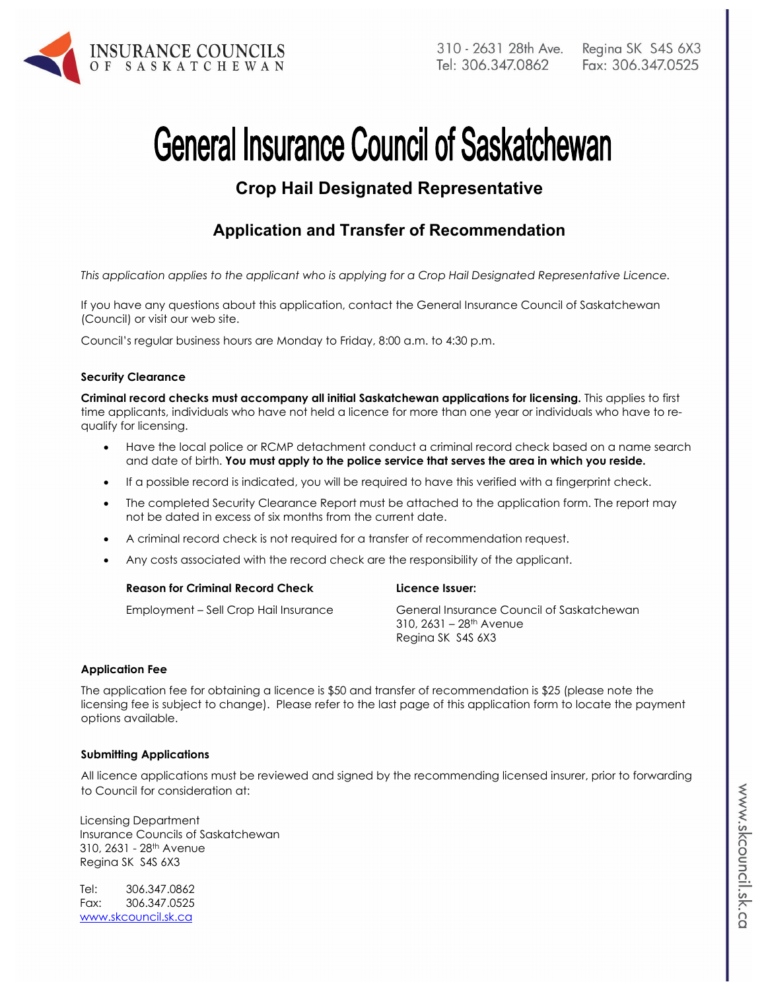

# **General Insurance Council of Saskatchewan**

# **Crop Hail Designated Representative**

## **Application and Transfer of Recommendation**

*This application applies to the applicant who is applying for a Crop Hail Designated Representative Licence.* 

If you have any questions about this application, contact the General Insurance Council of Saskatchewan (Council) or visit our web site.

Council's regular business hours are Monday to Friday, 8:00 a.m. to 4:30 p.m.

#### **Security Clearance**

**Criminal record checks must accompany all initial Saskatchewan applications for licensing.** This applies to first time applicants, individuals who have not held a licence for more than one year or individuals who have to requalify for licensing.

- Have the local police or RCMP detachment conduct a criminal record check based on a name search and date of birth. **You must apply to the police service that serves the area in which you reside.**
- If a possible record is indicated, you will be required to have this verified with a fingerprint check.
- The completed Security Clearance Report must be attached to the application form. The report may not be dated in excess of six months from the current date.
- A criminal record check is not required for a transfer of recommendation request.
- Any costs associated with the record check are the responsibility of the applicant.

| <b>Reason for Criminal Record Check</b>  | Licence Issuer: |
|------------------------------------------|-----------------|
| $Emplovment = Sall Cron Hail Insuiranca$ | Canaral Insurai |

Employment – Sell Crop Hail Insurance General Insurance Council of Saskatchewan  $310, 2631 - 28$ <sup>th</sup> Avenue Regina SK S4S 6X3

#### **Application Fee**

The application fee for obtaining a licence is \$50 and transfer of recommendation is \$25 (please note the licensing fee is subject to change). Please refer to the last page of this application form to locate the payment options available.

#### **Submitting Applications**

All licence applications must be reviewed and signed by the recommending licensed insurer, prior to forwarding to Council for consideration at:

Licensing Department Insurance Councils of Saskatchewan 310, 2631 - 28th Avenue Regina SK S4S 6X3

Tel: 306.347.0862 Fax: 306.347.0525 www.skcouncil.sk.ca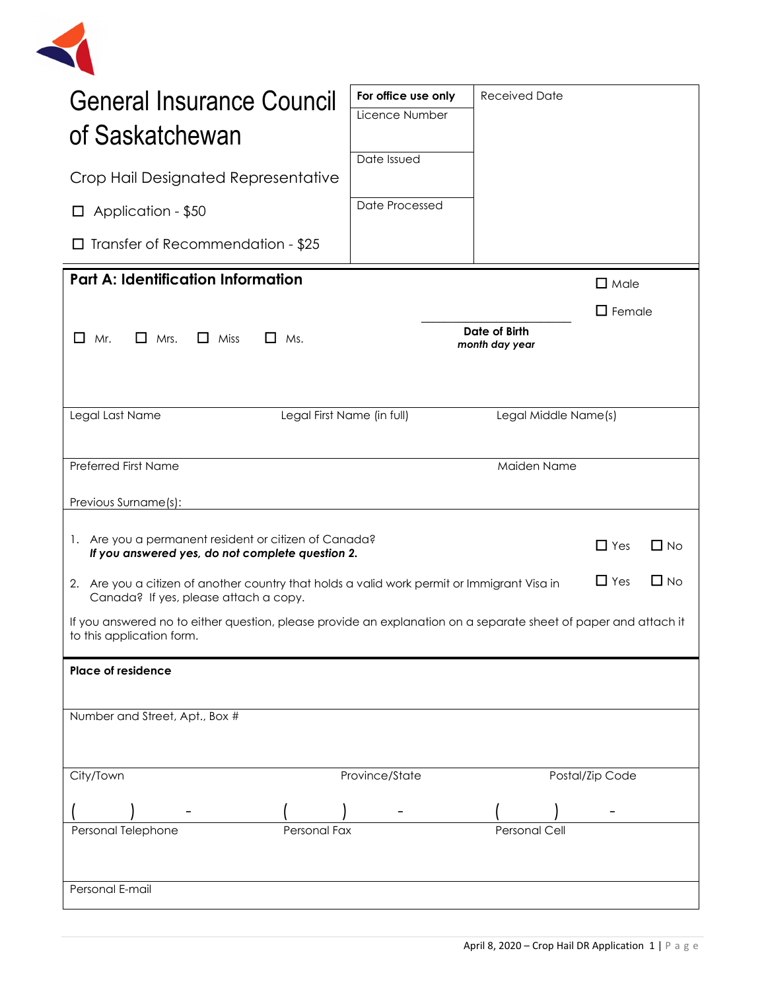

| General Insurance Council<br>of Saskatchewan                                                                                                                    | For office use only<br>Licence Number                                                                                                | <b>Received Date</b>            |                 |  |  |
|-----------------------------------------------------------------------------------------------------------------------------------------------------------------|--------------------------------------------------------------------------------------------------------------------------------------|---------------------------------|-----------------|--|--|
|                                                                                                                                                                 | Date Issued                                                                                                                          |                                 |                 |  |  |
| Crop Hail Designated Representative                                                                                                                             |                                                                                                                                      |                                 |                 |  |  |
| Application - \$50<br>ப                                                                                                                                         | Date Processed                                                                                                                       |                                 |                 |  |  |
| Transfer of Recommendation - \$25<br>$\Box$                                                                                                                     |                                                                                                                                      |                                 |                 |  |  |
| <b>Part A: Identification Information</b>                                                                                                                       |                                                                                                                                      |                                 | $\Box$ Male     |  |  |
|                                                                                                                                                                 |                                                                                                                                      |                                 | $\Box$ Female   |  |  |
| □<br>Mr.<br>Mrs.<br>$\Box$ Miss<br>$\Box$ Ms.<br>$\mathsf{L}$                                                                                                   |                                                                                                                                      | Date of Birth<br>month day year |                 |  |  |
|                                                                                                                                                                 |                                                                                                                                      |                                 |                 |  |  |
|                                                                                                                                                                 |                                                                                                                                      |                                 |                 |  |  |
| Legal Last Name<br>Legal First Name (in full)                                                                                                                   |                                                                                                                                      | Legal Middle Name(s)            |                 |  |  |
| <b>Preferred First Name</b>                                                                                                                                     |                                                                                                                                      |                                 |                 |  |  |
|                                                                                                                                                                 |                                                                                                                                      | Maiden Name                     |                 |  |  |
| Previous Surname(s):                                                                                                                                            |                                                                                                                                      |                                 |                 |  |  |
|                                                                                                                                                                 | 1. Are you a permanent resident or citizen of Canada?<br>$\Box$ No<br>$\Box$ Yes<br>If you answered yes, do not complete question 2. |                                 |                 |  |  |
| $\Box$ Yes<br>$\Box$ No<br>2. Are you a citizen of another country that holds a valid work permit or Immigrant Visa in<br>Canada? If yes, please attach a copy. |                                                                                                                                      |                                 |                 |  |  |
| If you answered no to either question, please provide an explanation on a separate sheet of paper and attach it<br>to this application form.                    |                                                                                                                                      |                                 |                 |  |  |
| <b>Place of residence</b>                                                                                                                                       |                                                                                                                                      |                                 |                 |  |  |
|                                                                                                                                                                 |                                                                                                                                      |                                 |                 |  |  |
| Number and Street, Apt., Box #                                                                                                                                  |                                                                                                                                      |                                 |                 |  |  |
|                                                                                                                                                                 |                                                                                                                                      |                                 |                 |  |  |
| City/Town                                                                                                                                                       | Province/State                                                                                                                       |                                 | Postal/Zip Code |  |  |
|                                                                                                                                                                 |                                                                                                                                      |                                 |                 |  |  |
| Personal Telephone<br>Personal<br>Personal Fax<br>Cell                                                                                                          |                                                                                                                                      |                                 |                 |  |  |
|                                                                                                                                                                 |                                                                                                                                      |                                 |                 |  |  |
| Personal E-mail                                                                                                                                                 |                                                                                                                                      |                                 |                 |  |  |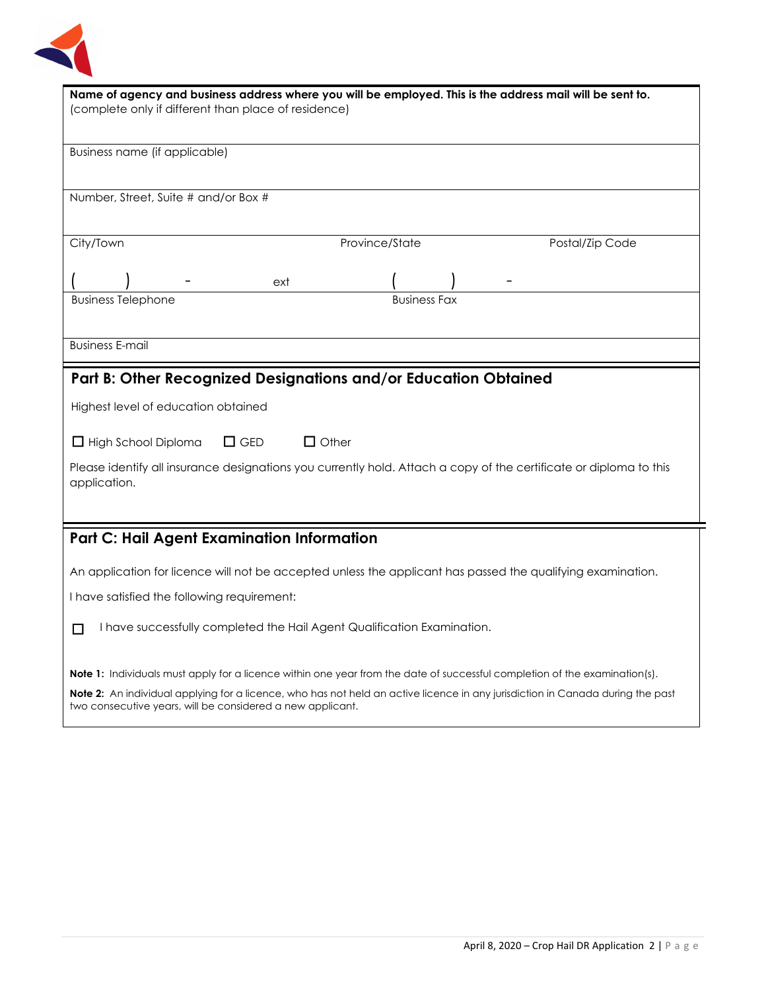

| Name of agency and business address where you will be employed. This is the address mail will be sent to.<br>(complete only if different than place of residence) |  |  |  |
|-------------------------------------------------------------------------------------------------------------------------------------------------------------------|--|--|--|
|                                                                                                                                                                   |  |  |  |
|                                                                                                                                                                   |  |  |  |
| Business name (if applicable)                                                                                                                                     |  |  |  |
|                                                                                                                                                                   |  |  |  |
| Number, Street, Suite # and/or Box #                                                                                                                              |  |  |  |
|                                                                                                                                                                   |  |  |  |
| City/Town<br>Province/State<br>Postal/Zip Code                                                                                                                    |  |  |  |
|                                                                                                                                                                   |  |  |  |
| ext                                                                                                                                                               |  |  |  |
| <b>Business Telephone</b><br><b>Business Fax</b>                                                                                                                  |  |  |  |
|                                                                                                                                                                   |  |  |  |
|                                                                                                                                                                   |  |  |  |
| <b>Business E-mail</b>                                                                                                                                            |  |  |  |
| Part B: Other Recognized Designations and/or Education Obtained                                                                                                   |  |  |  |
|                                                                                                                                                                   |  |  |  |
| Highest level of education obtained                                                                                                                               |  |  |  |
| $\Box$ GED<br>$\Box$ Other<br>$\Box$ High School Diploma                                                                                                          |  |  |  |
|                                                                                                                                                                   |  |  |  |
| Please identify all insurance designations you currently hold. Attach a copy of the certificate or diploma to this<br>application.                                |  |  |  |
|                                                                                                                                                                   |  |  |  |
|                                                                                                                                                                   |  |  |  |
| <b>Part C: Hail Agent Examination Information</b>                                                                                                                 |  |  |  |
|                                                                                                                                                                   |  |  |  |
| An application for licence will not be accepted unless the applicant has passed the qualifying examination.                                                       |  |  |  |
| I have satisfied the following requirement:                                                                                                                       |  |  |  |
|                                                                                                                                                                   |  |  |  |
| I have successfully completed the Hail Agent Qualification Examination.<br>П                                                                                      |  |  |  |
|                                                                                                                                                                   |  |  |  |
| <b>Note 1:</b> Individuals must apply for a licence within one year from the date of successful completion of the examination(s).                                 |  |  |  |
| <b>Note 2:</b> An individual applying for a licence, who has not held an active licence in any jurisdiction in Canada during the past                             |  |  |  |

two consecutive years, will be considered a new applicant.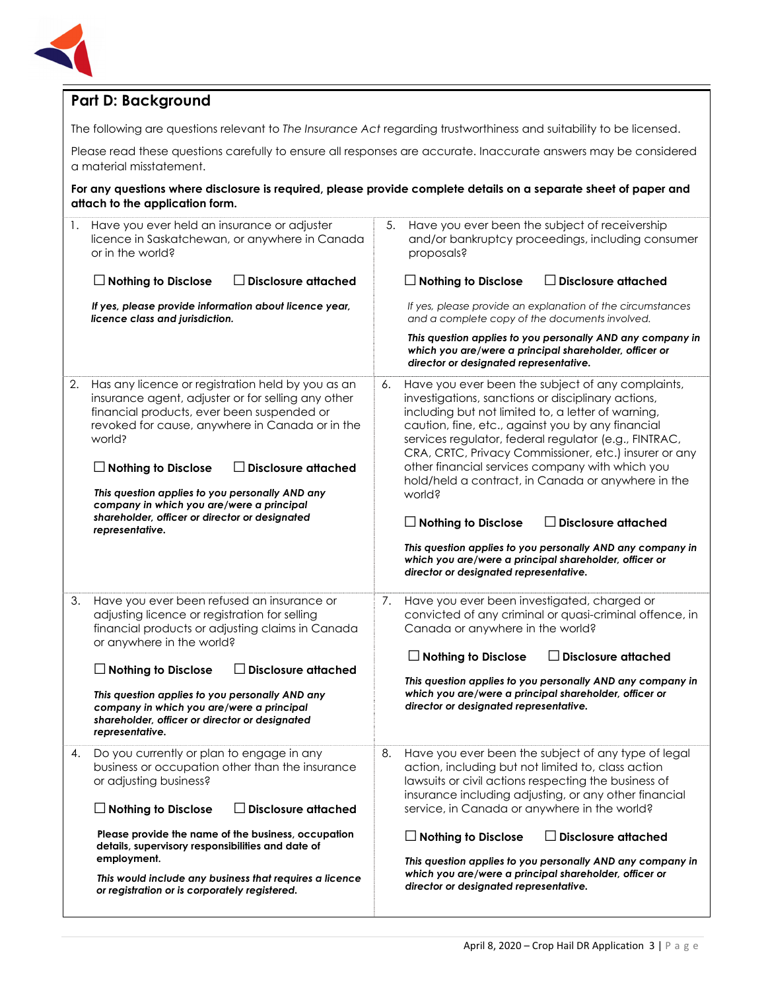

## **Part D: Background**

The following are questions relevant to *The Insurance Act* regarding trustworthiness and suitability to be licensed.

Please read these questions carefully to ensure all responses are accurate. Inaccurate answers may be considered a material misstatement.

#### **For any questions where disclosure is required, please provide complete details on a separate sheet of paper and attach to the application form.**

| 1. | Have you ever held an insurance or adjuster<br>licence in Saskatchewan, or anywhere in Canada<br>or in the world?<br>$\Box$ Nothing to Disclose<br><b>Disclosure attached</b><br>If yes, please provide information about licence year,<br>licence class and jurisdiction.                                                                                                                                                                          | 5.           | Have you ever been the subject of receivership<br>and/or bankruptcy proceedings, including consumer<br>proposals?<br>$\Box$ Disclosure attached<br>If yes, please provide an explanation of the circumstances<br>and a complete copy of the documents involved.<br>This question applies to you personally AND any company in<br>which you are/were a principal shareholder, officer or<br>director or designated representative.                                                                                                                                                                                                                                           |
|----|-----------------------------------------------------------------------------------------------------------------------------------------------------------------------------------------------------------------------------------------------------------------------------------------------------------------------------------------------------------------------------------------------------------------------------------------------------|--------------|-----------------------------------------------------------------------------------------------------------------------------------------------------------------------------------------------------------------------------------------------------------------------------------------------------------------------------------------------------------------------------------------------------------------------------------------------------------------------------------------------------------------------------------------------------------------------------------------------------------------------------------------------------------------------------|
| 2. | Has any licence or registration held by you as an<br>insurance agent, adjuster or for selling any other<br>financial products, ever been suspended or<br>revoked for cause, anywhere in Canada or in the<br>world?<br><b>Disclosure attached</b><br>$\Box$ Nothing to Disclose<br>This question applies to you personally AND any<br>company in which you are/were a principal<br>shareholder, officer or director or designated<br>representative. | 6.<br>world? | Have you ever been the subject of any complaints,<br>investigations, sanctions or disciplinary actions,<br>including but not limited to, a letter of warning,<br>caution, fine, etc., against you by any financial<br>services regulator, federal regulator (e.g., FINTRAC,<br>CRA, CRTC, Privacy Commissioner, etc.) insurer or any<br>other financial services company with which you<br>hold/held a contract, in Canada or anywhere in the<br>$\Box$ Nothing to Disclose<br>$\Box$ Disclosure attached<br>This question applies to you personally AND any company in<br>which you are/were a principal shareholder, officer or<br>director or designated representative. |
| 3. | Have you ever been refused an insurance or<br>adjusting licence or registration for selling<br>financial products or adjusting claims in Canada<br>or anywhere in the world?<br>$\Box$ Nothing to Disclose<br>$\Box$ Disclosure attached<br>This question applies to you personally AND any<br>company in which you are/were a principal<br>shareholder, officer or director or designated<br>representative.                                       | 7.           | Have you ever been investigated, charged or<br>convicted of any criminal or quasi-criminal offence, in<br>Canada or anywhere in the world?<br>$\Box$ Nothing to Disclose<br>$\Box$ Disclosure attached<br>This question applies to you personally AND any company in<br>which you are/were a principal shareholder, officer or<br>director or designated representative.                                                                                                                                                                                                                                                                                                    |
| 4. | Do you currently or plan to engage in any<br>business or occupation other than the insurance<br>or adjusting business?<br>$\Box$ Disclosure attached<br>$\Box$ Nothing to Disclose<br>Please provide the name of the business, occupation<br>details, supervisory responsibilities and date of<br>employment.<br>This would include any business that requires a licence                                                                            | 8.           | Have you ever been the subject of any type of legal<br>action, including but not limited to, class action<br>lawsuits or civil actions respecting the business of<br>insurance including adjusting, or any other financial<br>service, in Canada or anywhere in the world?<br>$\Box$ Disclosure attached<br>$\Box$ Nothing to Disclose<br>This question applies to you personally AND any company in<br>which you are/were a principal shareholder, officer or<br>director or designated representative.                                                                                                                                                                    |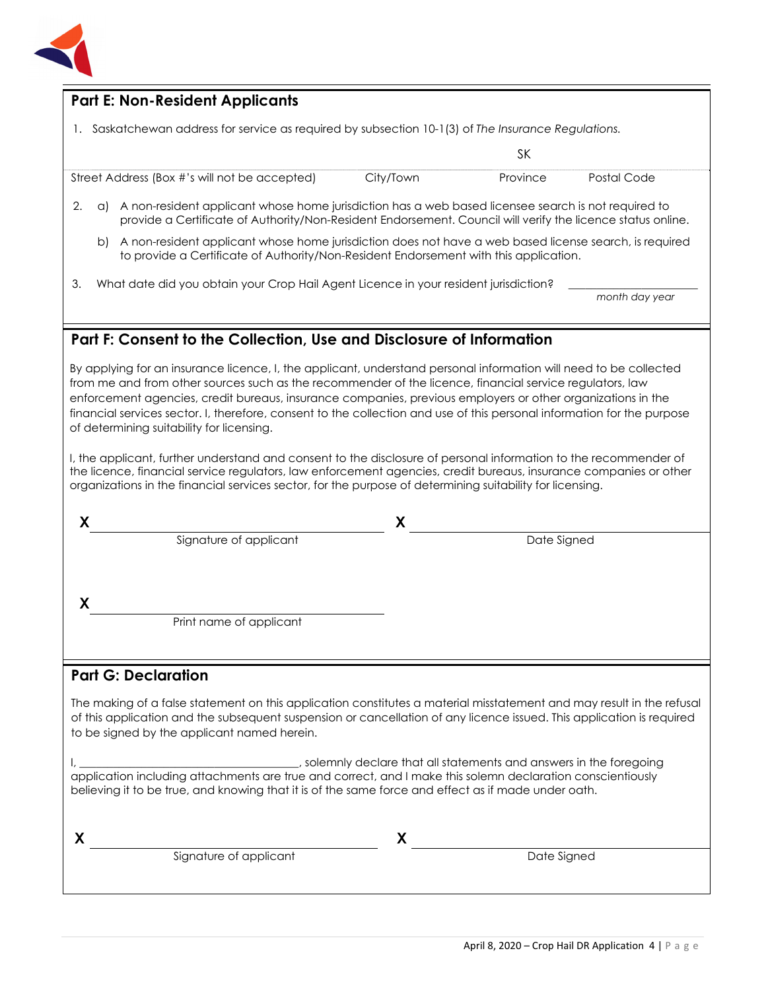

## **Part E: Non-Resident Applicants**

1. Saskatchewan address for service as required by subsection 10-1(3) of *The Insurance Regulations.*

Street Address (Box #'s will not be accepted) City/Town Province Postal Code

- 2. a) A non-resident applicant whose home jurisdiction has a web based licensee search is not required to provide a Certificate of Authority/Non-Resident Endorsement. Council will verify the licence status online.
	- b) A non-resident applicant whose home jurisdiction does not have a web based license search, is required to provide a Certificate of Authority/Non-Resident Endorsement with this application.
- 3. What date did you obtain your Crop Hail Agent Licence in your resident jurisdiction?

SK

*month day year*

### **Part F: Consent to the Collection, Use and Disclosure of Information**

By applying for an insurance licence, I, the applicant, understand personal information will need to be collected from me and from other sources such as the recommender of the licence, financial service regulators, law enforcement agencies, credit bureaus, insurance companies, previous employers or other organizations in the financial services sector. I, therefore, consent to the collection and use of this personal information for the purpose of determining suitability for licensing.

I, the applicant, further understand and consent to the disclosure of personal information to the recommender of the licence, financial service regulators, law enforcement agencies, credit bureaus, insurance companies or other organizations in the financial services sector, for the purpose of determining suitability for licensing.

|                         | χ           |  |
|-------------------------|-------------|--|
| Signature of applicant  | Date Signed |  |
|                         |             |  |
|                         |             |  |
|                         |             |  |
| Print name of applicant |             |  |
|                         |             |  |
|                         |             |  |

#### **Part G: Declaration**

The making of a false statement on this application constitutes a material misstatement and may result in the refusal of this application and the subsequent suspension or cancellation of any licence issued. This application is required to be signed by the applicant named herein.

I, \_\_\_\_\_\_\_\_\_\_\_\_\_\_\_\_\_\_\_\_\_\_\_\_\_\_\_\_\_\_\_\_\_\_\_\_\_\_\_, solemnly declare that all statements and answers in the foregoing application including attachments are true and correct, and I make this solemn declaration conscientiously believing it to be true, and knowing that it is of the same force and effect as if made under oath.

**X X** 

Signature of applicant Date Signed Date Signed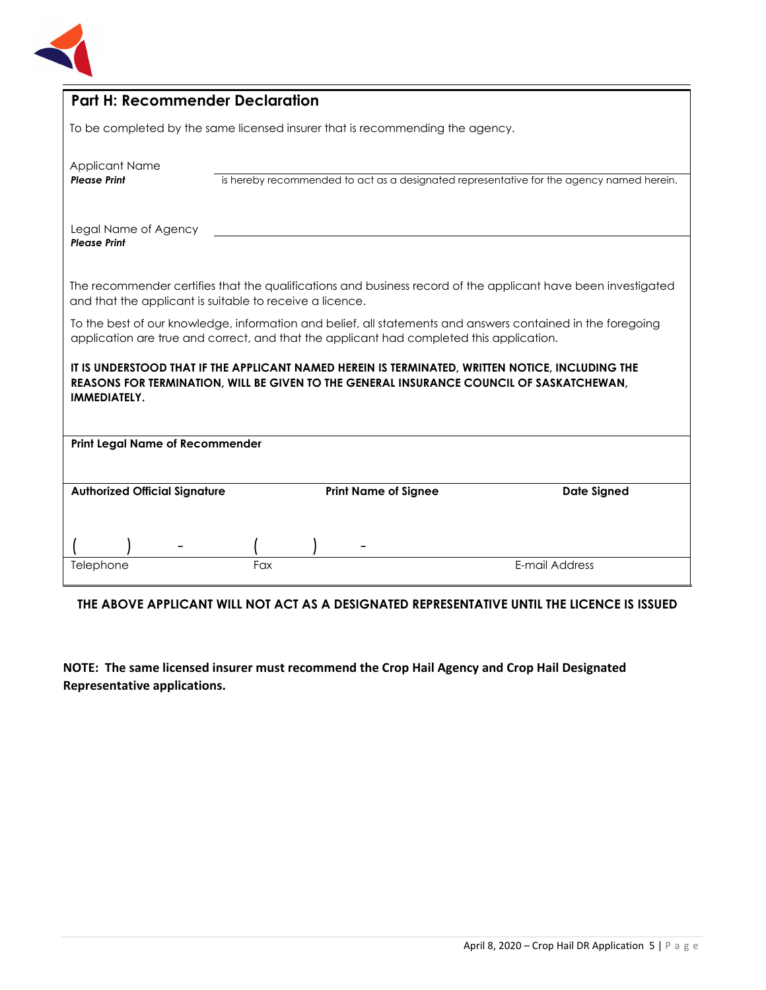

| <b>Part H: Recommender Declaration</b>                                                                                                                                                                       |     |  |                             |                |                                                                                          |
|--------------------------------------------------------------------------------------------------------------------------------------------------------------------------------------------------------------|-----|--|-----------------------------|----------------|------------------------------------------------------------------------------------------|
| To be completed by the same licensed insurer that is recommending the agency.                                                                                                                                |     |  |                             |                |                                                                                          |
| <b>Applicant Name</b><br><b>Please Print</b>                                                                                                                                                                 |     |  |                             |                | is hereby recommended to act as a designated representative for the agency named herein. |
| Legal Name of Agency<br><b>Please Print</b>                                                                                                                                                                  |     |  |                             |                |                                                                                          |
| The recommender certifies that the qualifications and business record of the applicant have been investigated<br>and that the applicant is suitable to receive a licence.                                    |     |  |                             |                |                                                                                          |
| To the best of our knowledge, information and belief, all statements and answers contained in the foregoing<br>application are true and correct, and that the applicant had completed this application.      |     |  |                             |                |                                                                                          |
| IT IS UNDERSTOOD THAT IF THE APPLICANT NAMED HEREIN IS TERMINATED, WRITTEN NOTICE, INCLUDING THE<br>REASONS FOR TERMINATION, WILL BE GIVEN TO THE GENERAL INSURANCE COUNCIL OF SASKATCHEWAN,<br>IMMEDIATELY. |     |  |                             |                |                                                                                          |
| <b>Print Legal Name of Recommender</b>                                                                                                                                                                       |     |  |                             |                |                                                                                          |
| <b>Authorized Official Signature</b>                                                                                                                                                                         |     |  | <b>Print Name of Signee</b> |                | <b>Date Signed</b>                                                                       |
| Telephone                                                                                                                                                                                                    | Fax |  |                             | E-mail Address |                                                                                          |
|                                                                                                                                                                                                              |     |  |                             |                |                                                                                          |

## **THE ABOVE APPLICANT WILL NOT ACT AS A DESIGNATED REPRESENTATIVE UNTIL THE LICENCE IS ISSUED**

**NOTE: The same licensed insurer must recommend the Crop Hail Agency and Crop Hail Designated Representative applications.**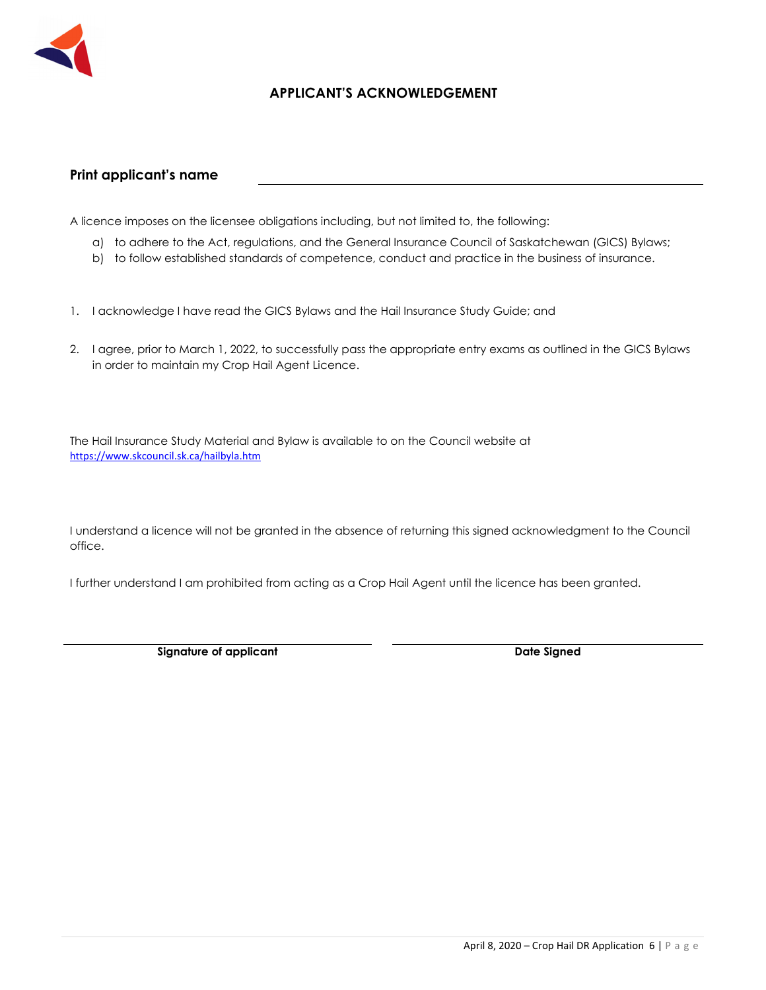

#### **APPLICANT'S ACKNOWLEDGEMENT**

#### **Print applicant's name**

A licence imposes on the licensee obligations including, but not limited to, the following:

- a) to adhere to the Act, regulations, and the General Insurance Council of Saskatchewan (GICS) Bylaws;
- b) to follow established standards of competence, conduct and practice in the business of insurance.
- 1. I acknowledge I have read the GICS Bylaws and the Hail Insurance Study Guide; and
- 2. I agree, prior to March 1, 2022, to successfully pass the appropriate entry exams as outlined in the GICS Bylaws in order to maintain my Crop Hail Agent Licence.

The Hail Insurance Study Material and Bylaw is available to on the Council website at https://www.skcouncil.sk.ca/hailbyla.htm

I understand a licence will not be granted in the absence of returning this signed acknowledgment to the Council office.

I further understand I am prohibited from acting as a Crop Hail Agent until the licence has been granted.

**Signature of applicant Case Controllering Case Controllering Case Controllering Date Signed Date Signed**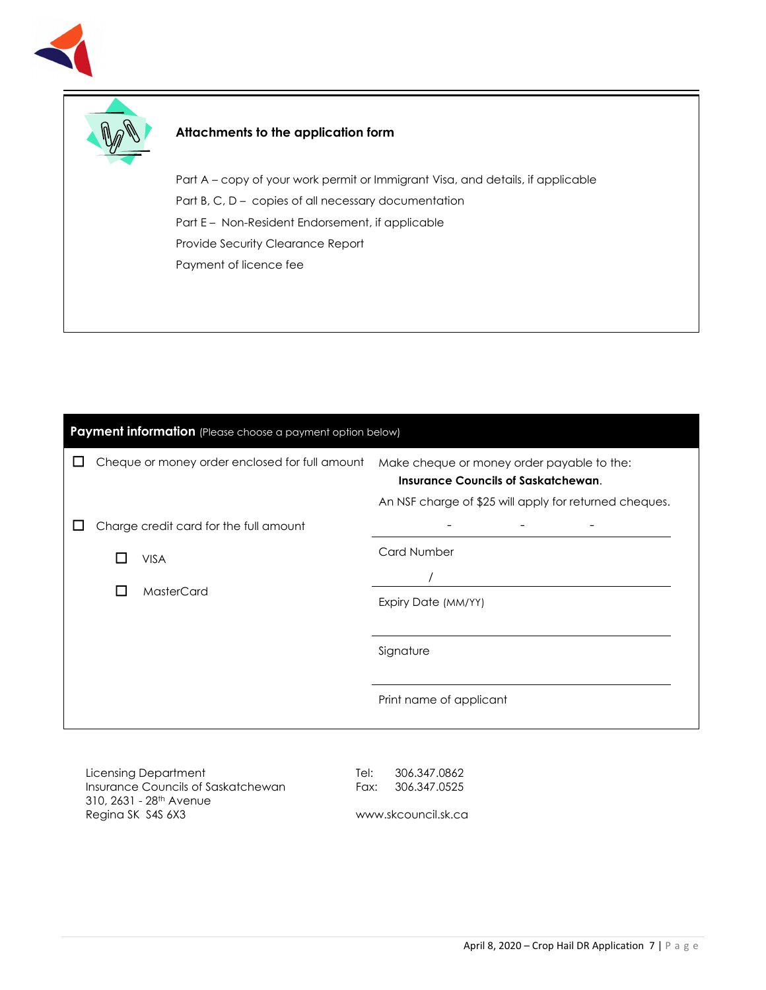



#### **Attachments to the application form**

Part A – copy of your work permit or Immigrant Visa, and details, if applicable Part B, C, D – copies of all necessary documentation Part E – Non-Resident Endorsement, if applicable Provide Security Clearance Report Payment of licence fee

| Payment information (Please choose a payment option below) |                           |                                                |                                                                                                                                                    |
|------------------------------------------------------------|---------------------------|------------------------------------------------|----------------------------------------------------------------------------------------------------------------------------------------------------|
|                                                            |                           | Cheque or money order enclosed for full amount | Make cheque or money order payable to the:<br><b>Insurance Councils of Saskatchewan.</b><br>An NSF charge of \$25 will apply for returned cheques. |
|                                                            |                           | Charge credit card for the full amount         |                                                                                                                                                    |
|                                                            | <b>VISA</b><br>MasterCard | <b>Card Number</b>                             |                                                                                                                                                    |
|                                                            |                           | Expiry Date (MM/YY)                            |                                                                                                                                                    |
|                                                            |                           |                                                | Signature                                                                                                                                          |
|                                                            |                           |                                                | Print name of applicant                                                                                                                            |
|                                                            |                           |                                                |                                                                                                                                                    |

Licensing Department Insurance Councils of Saskatchewan 310, 2631 - 28th Avenue Regina SK S4S 6X3

Tel: 306.347.0862 Fax: 306.347.0525

www.skcouncil.sk.ca